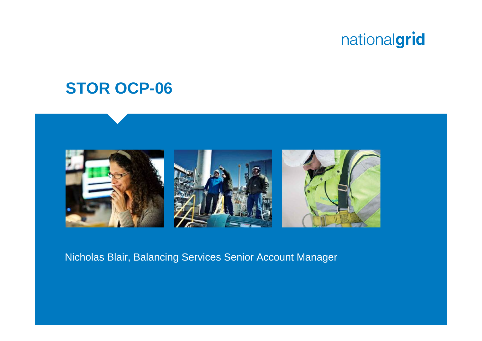### **STOR OCP-06**



Nicholas Blair, Balancing Services Senior Account Manager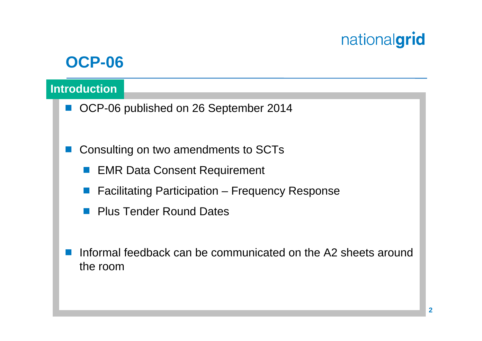### **OCP-06**

#### **Introduction**

- OCP-06 published on 26 September 2014
- $\left\vert \cdot\right\vert$  Consulting on two amendments to SCTs
	- **EMR Data Consent Requirement**
	- $\mathbb{R}^n$ Facilitating Participation – Frequency Response
	- **Plus Tender Round Dates**
- a s Informal feedback can be communicated on the A2 sheets around the room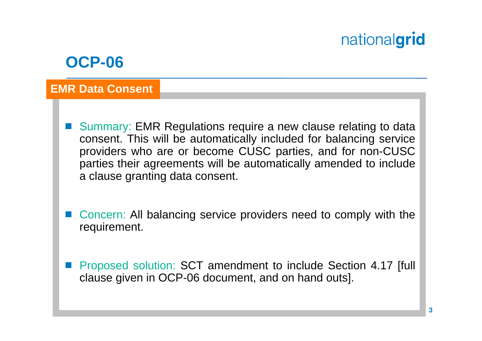### **OCP-06**

#### **EMR Data Consent**

- $\mathcal{L}(\mathcal{A})$  Summary: EMR Regulations require a new clause relating to data consent. This will be automatically included for balancing service providers who are or become CUSC parties, and for non-CUSC parties their agreements will be automatically amended to include a clause granting data consent.
- Concern: All balancing service providers need to comply with the requirement.
- Proposed solution: SCT amendment to include Section 4.17 [full clause given in OCP-06 document, and on hand outs].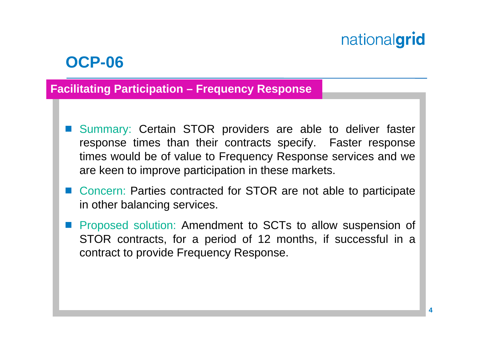### **OCP-06**

#### **Facilitating Participation – Frequency Response**

- Summary: Certain STOR providers are able to deliver faster response times than their contracts specify. Faster response times would be of value to Frequency Response services and we are keen to improve participation in these markets.
- Concern: Parties contracted for STOR are not able to participate in other balancing services.
- **Proposed solution: Amendment to SCTs to allow suspension of** STOR contracts, for a period of 12 months, if successful in a contract to provide Frequency Response.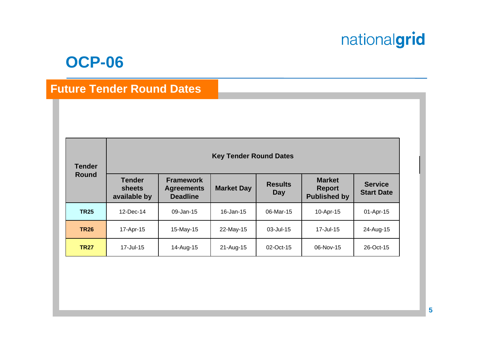#### **OCP-06**

#### **Future Tender Round Dates**

| <b>Tender</b><br><b>Round</b> | <b>Key Tender Round Dates</b>           |                                                          |                   |                       |                                                       |                                     |
|-------------------------------|-----------------------------------------|----------------------------------------------------------|-------------------|-----------------------|-------------------------------------------------------|-------------------------------------|
|                               | <b>Tender</b><br>sheets<br>available by | <b>Framework</b><br><b>Agreements</b><br><b>Deadline</b> | <b>Market Day</b> | <b>Results</b><br>Day | <b>Market</b><br><b>Report</b><br><b>Published by</b> | <b>Service</b><br><b>Start Date</b> |
| <b>TR25</b>                   | 12-Dec-14                               | 09-Jan-15                                                | $16 - Jan - 15$   | 06-Mar-15             | 10-Apr-15                                             | 01-Apr-15                           |
| <b>TR26</b>                   | 17-Apr-15                               | 15-May-15                                                | 22-May-15         | 03-Jul-15             | 17-Jul-15                                             | 24-Aug-15                           |
| <b>TR27</b>                   | 17-Jul-15                               | 14-Aug-15                                                | 21-Aug-15         | 02-Oct-15             | 06-Nov-15                                             | 26-Oct-15                           |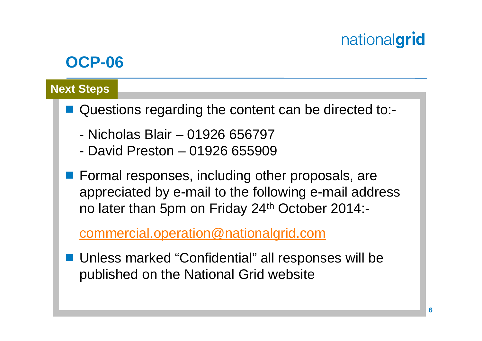## **OCP-06**

#### **Next Steps**

- Questions regarding the content can be directed to:-
	- Nicholas Blair 01926 656797
	- David Preston 01926 655909
- **Formal responses, including other proposals, are** appreciated by e-mail to the following e-mail address no later than 5pm on Friday 24th October 2014:-

commercial.operation@nationalgrid.com

■ Unless marked "Confidential" all responses will be published on the National Grid website